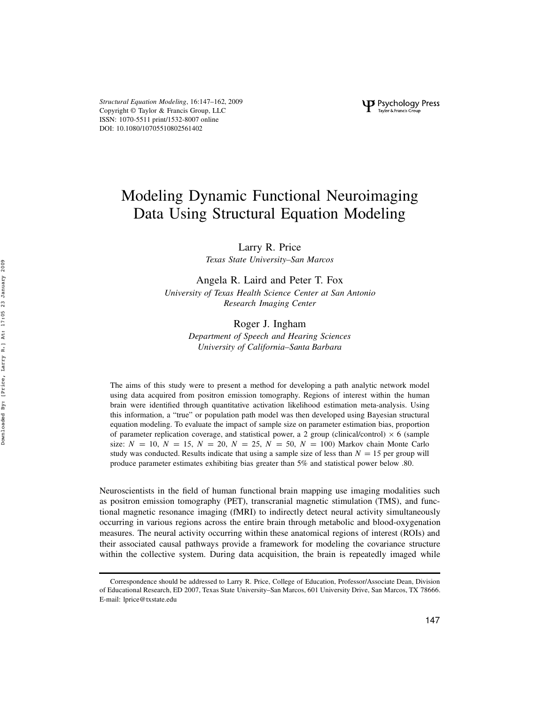Structural Equation Modeling, 16:147–162, 2009 Copyright © Taylor & Francis Group, LLC ISSN: 1070-5511 print/1532-8007 online DOI: 10.1080/10705510802561402

# Modeling Dynamic Functional Neuroimaging Data Using Structural Equation Modeling

Larry R. Price Texas State University–San Marcos

Angela R. Laird and Peter T. Fox University of Texas Health Science Center at San Antonio Research Imaging Center

> Roger J. Ingham Department of Speech and Hearing Sciences University of California–Santa Barbara

The aims of this study were to present a method for developing a path analytic network model using data acquired from positron emission tomography. Regions of interest within the human brain were identified through quantitative activation likelihood estimation meta-analysis. Using this information, a "true" or population path model was then developed using Bayesian structural equation modeling. To evaluate the impact of sample size on parameter estimation bias, proportion of parameter replication coverage, and statistical power, a 2 group (clinical/control)  $\times$  6 (sample size:  $N = 10, N = 15, N = 20, N = 25, N = 50, N = 100$ ) Markov chain Monte Carlo study was conducted. Results indicate that using a sample size of less than  $N = 15$  per group will produce parameter estimates exhibiting bias greater than 5% and statistical power below .80.

Neuroscientists in the field of human functional brain mapping use imaging modalities such as positron emission tomography (PET), transcranial magnetic stimulation (TMS), and functional magnetic resonance imaging (fMRI) to indirectly detect neural activity simultaneously occurring in various regions across the entire brain through metabolic and blood-oxygenation measures. The neural activity occurring within these anatomical regions of interest (ROIs) and their associated causal pathways provide a framework for modeling the covariance structure within the collective system. During data acquisition, the brain is repeatedly imaged while

Correspondence should be addressed to Larry R. Price, College of Education, Professor/Associate Dean, Division of Educational Research, ED 2007, Texas State University–San Marcos, 601 University Drive, San Marcos, TX 78666. E-mail: lprice@txstate.edu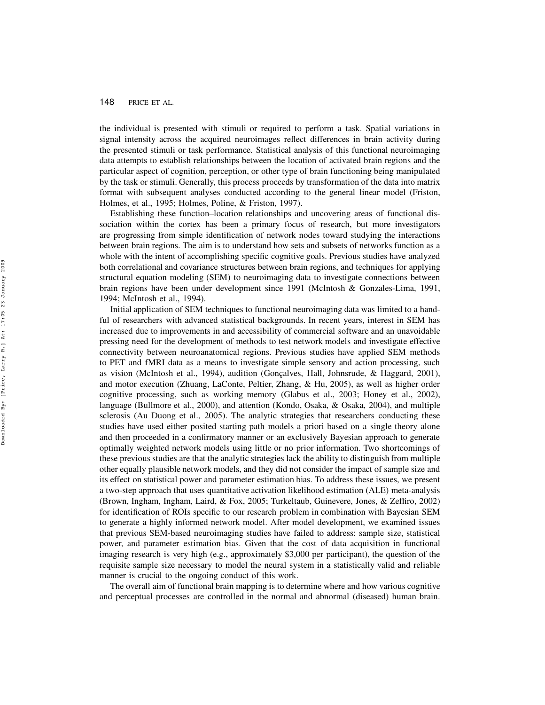the individual is presented with stimuli or required to perform a task. Spatial variations in signal intensity across the acquired neuroimages reflect differences in brain activity during the presented stimuli or task performance. Statistical analysis of this functional neuroimaging data attempts to establish relationships between the location of activated brain regions and the particular aspect of cognition, perception, or other type of brain functioning being manipulated by the task or stimuli. Generally, this process proceeds by transformation of the data into matrix format with subsequent analyses conducted according to the general linear model (Friston, Holmes, et al., 1995; Holmes, Poline, & Friston, 1997).

Establishing these function–location relationships and uncovering areas of functional dissociation within the cortex has been a primary focus of research, but more investigators are progressing from simple identification of network nodes toward studying the interactions between brain regions. The aim is to understand how sets and subsets of networks function as a whole with the intent of accomplishing specific cognitive goals. Previous studies have analyzed both correlational and covariance structures between brain regions, and techniques for applying structural equation modeling (SEM) to neuroimaging data to investigate connections between brain regions have been under development since 1991 (McIntosh & Gonzales-Lima, 1991, 1994; McIntosh et al., 1994).

Initial application of SEM techniques to functional neuroimaging data was limited to a handful of researchers with advanced statistical backgrounds. In recent years, interest in SEM has increased due to improvements in and accessibility of commercial software and an unavoidable pressing need for the development of methods to test network models and investigate effective connectivity between neuroanatomical regions. Previous studies have applied SEM methods to PET and fMRI data as a means to investigate simple sensory and action processing, such as vision (McIntosh et al., 1994), audition (Gonçalves, Hall, Johnsrude, & Haggard, 2001), and motor execution (Zhuang, LaConte, Peltier, Zhang, & Hu, 2005), as well as higher order cognitive processing, such as working memory (Glabus et al., 2003; Honey et al., 2002), language (Bullmore et al., 2000), and attention (Kondo, Osaka, & Osaka, 2004), and multiple sclerosis (Au Duong et al., 2005). The analytic strategies that researchers conducting these studies have used either posited starting path models a priori based on a single theory alone and then proceeded in a confirmatory manner or an exclusively Bayesian approach to generate optimally weighted network models using little or no prior information. Two shortcomings of these previous studies are that the analytic strategies lack the ability to distinguish from multiple other equally plausible network models, and they did not consider the impact of sample size and its effect on statistical power and parameter estimation bias. To address these issues, we present a two-step approach that uses quantitative activation likelihood estimation (ALE) meta-analysis (Brown, Ingham, Ingham, Laird, & Fox, 2005; Turkeltaub, Guinevere, Jones, & Zeffiro, 2002) for identification of ROIs specific to our research problem in combination with Bayesian SEM to generate a highly informed network model. After model development, we examined issues that previous SEM-based neuroimaging studies have failed to address: sample size, statistical power, and parameter estimation bias. Given that the cost of data acquisition in functional imaging research is very high (e.g., approximately \$3,000 per participant), the question of the requisite sample size necessary to model the neural system in a statistically valid and reliable manner is crucial to the ongoing conduct of this work.

The overall aim of functional brain mapping is to determine where and how various cognitive and perceptual processes are controlled in the normal and abnormal (diseased) human brain.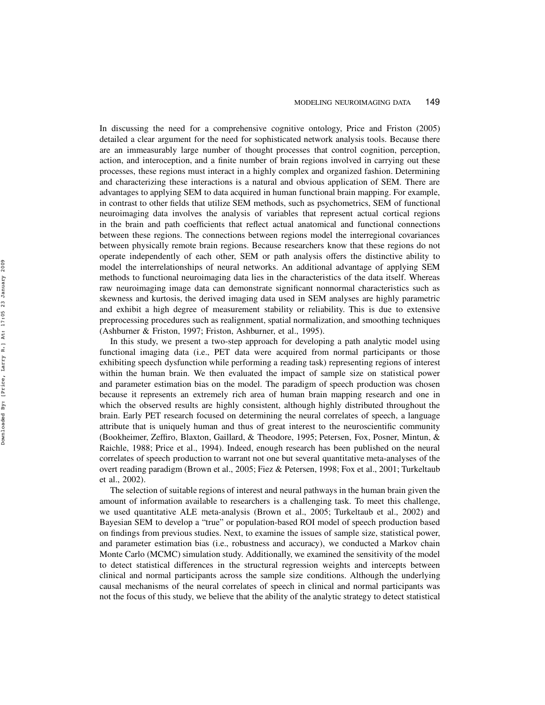In discussing the need for a comprehensive cognitive ontology, Price and Friston (2005) detailed a clear argument for the need for sophisticated network analysis tools. Because there are an immeasurably large number of thought processes that control cognition, perception, action, and interoception, and a finite number of brain regions involved in carrying out these processes, these regions must interact in a highly complex and organized fashion. Determining and characterizing these interactions is a natural and obvious application of SEM. There are advantages to applying SEM to data acquired in human functional brain mapping. For example, in contrast to other fields that utilize SEM methods, such as psychometrics, SEM of functional neuroimaging data involves the analysis of variables that represent actual cortical regions in the brain and path coefficients that reflect actual anatomical and functional connections between these regions. The connections between regions model the interregional covariances between physically remote brain regions. Because researchers know that these regions do not operate independently of each other, SEM or path analysis offers the distinctive ability to model the interrelationships of neural networks. An additional advantage of applying SEM methods to functional neuroimaging data lies in the characteristics of the data itself. Whereas raw neuroimaging image data can demonstrate significant nonnormal characteristics such as skewness and kurtosis, the derived imaging data used in SEM analyses are highly parametric and exhibit a high degree of measurement stability or reliability. This is due to extensive preprocessing procedures such as realignment, spatial normalization, and smoothing techniques (Ashburner & Friston, 1997; Friston, Ashburner, et al., 1995).

In this study, we present a two-step approach for developing a path analytic model using functional imaging data (i.e., PET data were acquired from normal participants or those exhibiting speech dysfunction while performing a reading task) representing regions of interest within the human brain. We then evaluated the impact of sample size on statistical power and parameter estimation bias on the model. The paradigm of speech production was chosen because it represents an extremely rich area of human brain mapping research and one in which the observed results are highly consistent, although highly distributed throughout the brain. Early PET research focused on determining the neural correlates of speech, a language attribute that is uniquely human and thus of great interest to the neuroscientific community (Bookheimer, Zeffiro, Blaxton, Gaillard, & Theodore, 1995; Petersen, Fox, Posner, Mintun, & Raichle, 1988; Price et al., 1994). Indeed, enough research has been published on the neural correlates of speech production to warrant not one but several quantitative meta-analyses of the overt reading paradigm (Brown et al., 2005; Fiez & Petersen, 1998; Fox et al., 2001; Turkeltaub et al., 2002).

The selection of suitable regions of interest and neural pathways in the human brain given the amount of information available to researchers is a challenging task. To meet this challenge, we used quantitative ALE meta-analysis (Brown et al., 2005; Turkeltaub et al., 2002) and Bayesian SEM to develop a "true" or population-based ROI model of speech production based on findings from previous studies. Next, to examine the issues of sample size, statistical power, and parameter estimation bias (i.e., robustness and accuracy), we conducted a Markov chain Monte Carlo (MCMC) simulation study. Additionally, we examined the sensitivity of the model to detect statistical differences in the structural regression weights and intercepts between clinical and normal participants across the sample size conditions. Although the underlying causal mechanisms of the neural correlates of speech in clinical and normal participants was not the focus of this study, we believe that the ability of the analytic strategy to detect statistical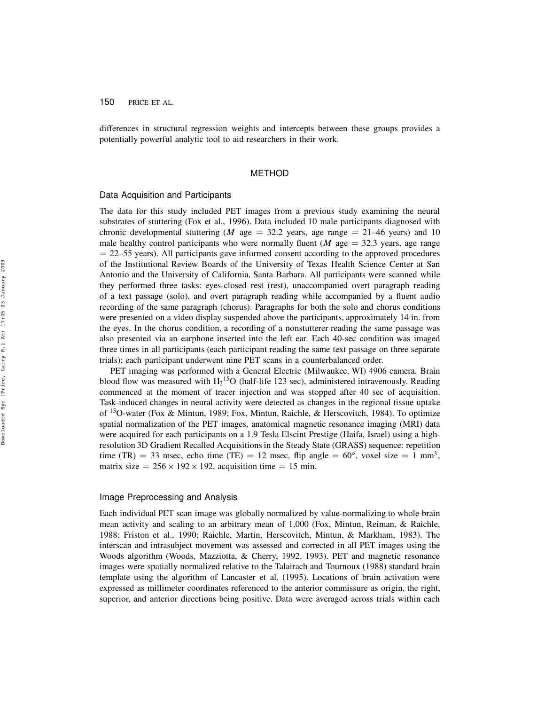differences in structural regression weights and intercepts between these groups provides a potentially powerful analytic tool to aid researchers in their work.

#### METHOD

#### Data Acquisition and Participants

The data for this study included PET images from a previous study examining the neural substrates of stuttering (Fox et al., 1996). Data included 10 male participants diagnosed with chronic developmental stuttering (*M* age  $=$  32.2 years, age range  $=$  21–46 years) and 10 male healthy control participants who were normally fluent ( $M$  age  $=$  32.3 years, age range  $=$  22–55 years). All participants gave informed consent according to the approved procedures of the Institutional Review Boards of the University of Texas Health Science Center at San Antonio and the University of California, Santa Barbara. All participants were scanned while they performed three tasks: eyes-closed rest (rest), unaccompanied overt paragraph reading of a text passage (solo), and overt paragraph reading while accompanied by a fluent audio recording of the same paragraph (chorus). Paragraphs for both the solo and chorus conditions were presented on a video display suspended above the participants, approximately 14 in. from the eyes. In the chorus condition, a recording of a nonstutterer reading the same passage was also presented via an earphone inserted into the left ear. Each 40-sec condition was imaged three times in all participants (each participant reading the same text passage on three separate trials); each participant underwent nine PET scans in a counterbalanced order.

PET imaging was performed with a General Electric (Milwaukee, WI) 4906 camera. Brain blood flow was measured with  $H_2$ <sup>15</sup>O (half-life 123 sec), administered intravenously. Reading commenced at the moment of tracer injection and was stopped after 40 sec of acquisition. Task-induced changes in neural activity were detected as changes in the regional tissue uptake of <sup>15</sup>O-water (Fox & Mintun, 1989; Fox, Mintun, Raichle, & Herscovitch, 1984). To optimize spatial normalization of the PET images, anatomical magnetic resonance imaging (MRI) data were acquired for each participants on a 1.9 Tesla Elscint Prestige (Haifa, Israel) using a highresolution 3D Gradient Recalled Acquisitions in the Steady State (GRASS) sequence: repetition time (TR) = 33 msec, echo time (TE) = 12 msec, flip angle =  $60^\circ$ , voxel size = 1 mm<sup>3</sup>, matrix size  $= 256 \times 192 \times 192$ , acquisition time  $= 15$  min.

#### Image Preprocessing and Analysis

Each individual PET scan image was globally normalized by value-normalizing to whole brain mean activity and scaling to an arbitrary mean of 1,000 (Fox, Mintun, Reiman, & Raichle, 1988; Friston et al., 1990; Raichle, Martin, Herscovitch, Mintun, & Markham, 1983). The interscan and intrasubject movement was assessed and corrected in all PET images using the Woods algorithm (Woods, Mazziotta, & Cherry, 1992, 1993). PET and magnetic resonance images were spatially normalized relative to the Talairach and Tournoux (1988) standard brain template using the algorithm of Lancaster et al. (1995). Locations of brain activation were expressed as millimeter coordinates referenced to the anterior commissure as origin, the right, superior, and anterior directions being positive. Data were averaged across trials within each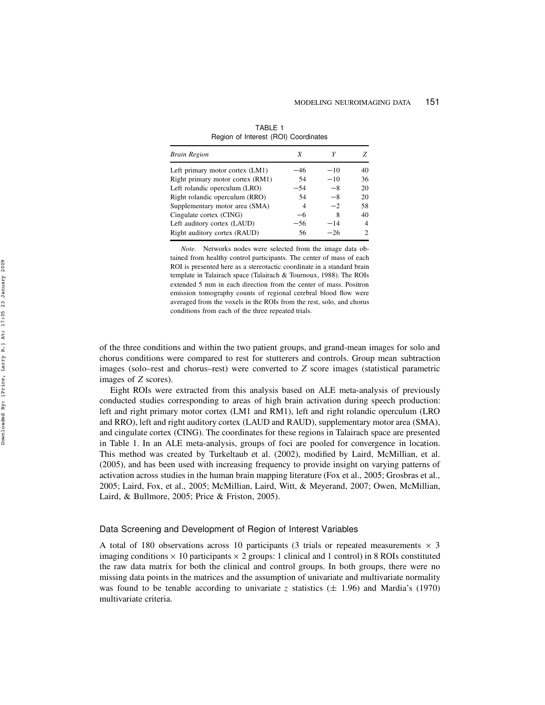| Brain Region                     | X     |       |                |
|----------------------------------|-------|-------|----------------|
| Left primary motor cortex (LM1)  | -46   | $-10$ | 40             |
| Right primary motor cortex (RM1) | 54    | $-10$ | 36             |
| Left rolandic operculum (LRO)    | $-54$ | $-8$  | 20             |
| Right rolandic operculum (RRO)   | 54    | $-8$  | 20             |
| Supplementary motor area (SMA)   | 4     | $-2$  | 58             |
| Cingulate cortex (CING)          | -6    | 8     | 40             |
| Left auditory cortex (LAUD)      | $-56$ | $-14$ | $\overline{4}$ |
| Right auditory cortex (RAUD)     | 56    | $-26$ | $\overline{c}$ |
|                                  |       |       |                |

TABLE 1 Region of Interest (ROI) Coordinates

Note. Networks nodes were selected from the image data obtained from healthy control participants. The center of mass of each ROI is presented here as a stereotactic coordinate in a standard brain template in Talairach space (Talairach & Tournoux, 1988). The ROIs extended 5 mm in each direction from the center of mass. Positron emission tomography counts of regional cerebral blood flow were averaged from the voxels in the ROIs from the rest, solo, and chorus conditions from each of the three repeated trials.

of the three conditions and within the two patient groups, and grand-mean images for solo and chorus conditions were compared to rest for stutterers and controls. Group mean subtraction images (solo–rest and chorus–rest) were converted to Z score images (statistical parametric images of Z scores).

Eight ROIs were extracted from this analysis based on ALE meta-analysis of previously conducted studies corresponding to areas of high brain activation during speech production: left and right primary motor cortex (LM1 and RM1), left and right rolandic operculum (LRO and RRO), left and right auditory cortex (LAUD and RAUD), supplementary motor area (SMA), and cingulate cortex (CING). The coordinates for these regions in Talairach space are presented in Table 1. In an ALE meta-analysis, groups of foci are pooled for convergence in location. This method was created by Turkeltaub et al. (2002), modified by Laird, McMillian, et al. (2005), and has been used with increasing frequency to provide insight on varying patterns of activation across studies in the human brain mapping literature (Fox et al., 2005; Grosbras et al., 2005; Laird, Fox, et al., 2005; McMillian, Laird, Witt, & Meyerand, 2007; Owen, McMillian, Laird, & Bullmore, 2005; Price & Friston, 2005).

# Data Screening and Development of Region of Interest Variables

A total of 180 observations across 10 participants (3 trials or repeated measurements  $\times$  3 imaging conditions  $\times$  10 participants  $\times$  2 groups: 1 clinical and 1 control) in 8 ROIs constituted the raw data matrix for both the clinical and control groups. In both groups, there were no missing data points in the matrices and the assumption of univariate and multivariate normality was found to be tenable according to univariate z statistics  $(\pm 1.96)$  and Mardia's (1970) multivariate criteria.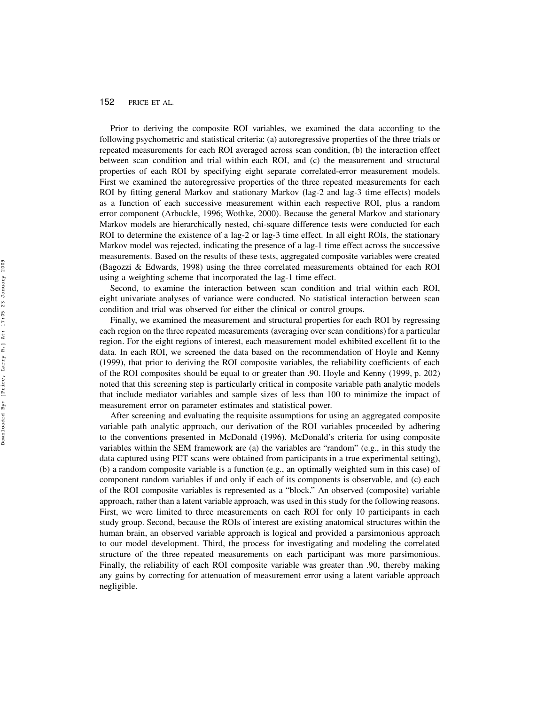Prior to deriving the composite ROI variables, we examined the data according to the following psychometric and statistical criteria: (a) autoregressive properties of the three trials or repeated measurements for each ROI averaged across scan condition, (b) the interaction effect between scan condition and trial within each ROI, and (c) the measurement and structural properties of each ROI by specifying eight separate correlated-error measurement models. First we examined the autoregressive properties of the three repeated measurements for each ROI by fitting general Markov and stationary Markov (lag-2 and lag-3 time effects) models as a function of each successive measurement within each respective ROI, plus a random error component (Arbuckle, 1996; Wothke, 2000). Because the general Markov and stationary Markov models are hierarchically nested, chi-square difference tests were conducted for each ROI to determine the existence of a lag-2 or lag-3 time effect. In all eight ROIs, the stationary Markov model was rejected, indicating the presence of a lag-1 time effect across the successive measurements. Based on the results of these tests, aggregated composite variables were created (Bagozzi & Edwards, 1998) using the three correlated measurements obtained for each ROI using a weighting scheme that incorporated the lag-1 time effect.

Second, to examine the interaction between scan condition and trial within each ROI, eight univariate analyses of variance were conducted. No statistical interaction between scan condition and trial was observed for either the clinical or control groups.

Finally, we examined the measurement and structural properties for each ROI by regressing each region on the three repeated measurements (averaging over scan conditions) for a particular region. For the eight regions of interest, each measurement model exhibited excellent fit to the data. In each ROI, we screened the data based on the recommendation of Hoyle and Kenny (1999), that prior to deriving the ROI composite variables, the reliability coefficients of each of the ROI composites should be equal to or greater than .90. Hoyle and Kenny (1999, p. 202) noted that this screening step is particularly critical in composite variable path analytic models that include mediator variables and sample sizes of less than 100 to minimize the impact of measurement error on parameter estimates and statistical power.

After screening and evaluating the requisite assumptions for using an aggregated composite variable path analytic approach, our derivation of the ROI variables proceeded by adhering to the conventions presented in McDonald (1996). McDonald's criteria for using composite variables within the SEM framework are (a) the variables are "random" (e.g., in this study the data captured using PET scans were obtained from participants in a true experimental setting), (b) a random composite variable is a function (e.g., an optimally weighted sum in this case) of component random variables if and only if each of its components is observable, and (c) each of the ROI composite variables is represented as a "block." An observed (composite) variable approach, rather than a latent variable approach, was used in this study for the following reasons. First, we were limited to three measurements on each ROI for only 10 participants in each study group. Second, because the ROIs of interest are existing anatomical structures within the human brain, an observed variable approach is logical and provided a parsimonious approach to our model development. Third, the process for investigating and modeling the correlated structure of the three repeated measurements on each participant was more parsimonious. Finally, the reliability of each ROI composite variable was greater than .90, thereby making any gains by correcting for attenuation of measurement error using a latent variable approach negligible.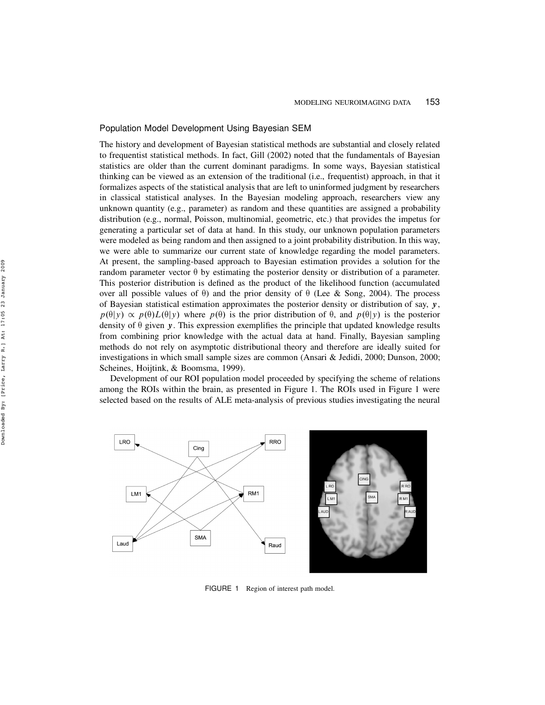#### Population Model Development Using Bayesian SEM

The history and development of Bayesian statistical methods are substantial and closely related to frequentist statistical methods. In fact, Gill (2002) noted that the fundamentals of Bayesian statistics are older than the current dominant paradigms. In some ways, Bayesian statistical thinking can be viewed as an extension of the traditional (i.e., frequentist) approach, in that it formalizes aspects of the statistical analysis that are left to uninformed judgment by researchers in classical statistical analyses. In the Bayesian modeling approach, researchers view any unknown quantity (e.g., parameter) as random and these quantities are assigned a probability distribution (e.g., normal, Poisson, multinomial, geometric, etc.) that provides the impetus for generating a particular set of data at hand. In this study, our unknown population parameters were modeled as being random and then assigned to a joint probability distribution. In this way, we were able to summarize our current state of knowledge regarding the model parameters. At present, the sampling-based approach to Bayesian estimation provides a solution for the random parameter vector  $\theta$  by estimating the posterior density or distribution of a parameter. This posterior distribution is defined as the product of the likelihood function (accumulated over all possible values of  $\theta$ ) and the prior density of  $\theta$  (Lee & Song, 2004). The process of Bayesian statistical estimation approximates the posterior density or distribution of say,  $y$ ,  $p(\theta|y) \propto p(\theta)L(\theta|y)$  where  $p(\theta)$  is the prior distribution of  $\theta$ , and  $p(\theta|y)$  is the posterior density of  $\theta$  given y. This expression exemplifies the principle that updated knowledge results from combining prior knowledge with the actual data at hand. Finally, Bayesian sampling methods do not rely on asymptotic distributional theory and therefore are ideally suited for investigations in which small sample sizes are common (Ansari & Jedidi, 2000; Dunson, 2000; Scheines, Hoijtink, & Boomsma, 1999).

Development of our ROI population model proceeded by specifying the scheme of relations among the ROIs within the brain, as presented in Figure 1. The ROIs used in Figure 1 were selected based on the results of ALE meta-analysis of previous studies investigating the neural



FIGURE 1 Region of interest path model.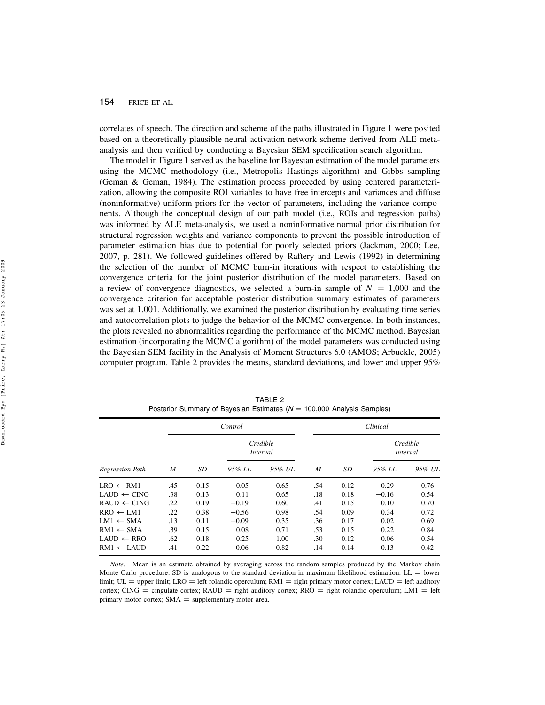correlates of speech. The direction and scheme of the paths illustrated in Figure 1 were posited based on a theoretically plausible neural activation network scheme derived from ALE metaanalysis and then verified by conducting a Bayesian SEM specification search algorithm.

The model in Figure 1 served as the baseline for Bayesian estimation of the model parameters using the MCMC methodology (i.e., Metropolis–Hastings algorithm) and Gibbs sampling (Geman & Geman, 1984). The estimation process proceeded by using centered parameterization, allowing the composite ROI variables to have free intercepts and variances and diffuse (noninformative) uniform priors for the vector of parameters, including the variance components. Although the conceptual design of our path model (i.e., ROIs and regression paths) was informed by ALE meta-analysis, we used a noninformative normal prior distribution for structural regression weights and variance components to prevent the possible introduction of parameter estimation bias due to potential for poorly selected priors (Jackman, 2000; Lee, 2007, p. 281). We followed guidelines offered by Raftery and Lewis (1992) in determining the selection of the number of MCMC burn-in iterations with respect to establishing the convergence criteria for the joint posterior distribution of the model parameters. Based on a review of convergence diagnostics, we selected a burn-in sample of  $N = 1,000$  and the convergence criterion for acceptable posterior distribution summary estimates of parameters was set at 1.001. Additionally, we examined the posterior distribution by evaluating time series and autocorrelation plots to judge the behavior of the MCMC convergence. In both instances, the plots revealed no abnormalities regarding the performance of the MCMC method. Bayesian estimation (incorporating the MCMC algorithm) of the model parameters was conducted using the Bayesian SEM facility in the Analysis of Moment Structures 6.0 (AMOS; Arbuckle, 2005) computer program. Table 2 provides the means, standard deviations, and lower and upper 95%

|                        |     |      | Control           |                      |     |      | Clinical |                      |
|------------------------|-----|------|-------------------|----------------------|-----|------|----------|----------------------|
|                        |     |      |                   | Credible<br>Interval |     |      |          | Credible<br>Interval |
| <b>Regression Path</b> | M   | SD   | $95\%$ <i>II.</i> | 95% UL               | M   | SD   | 95% LL   | 95% UL               |
| $LRO \leftarrow RM1$   | .45 | 0.15 | 0.05              | 0.65                 | .54 | 0.12 | 0.29     | 0.76                 |
| $LAUD \leftarrow CING$ | .38 | 0.13 | 0.11              | 0.65                 | .18 | 0.18 | $-0.16$  | 0.54                 |
| $RAUD \leftarrow CING$ | .22 | 0.19 | $-0.19$           | 0.60                 | .41 | 0.15 | 0.10     | 0.70                 |
| $RRO \leftarrow LM1$   | .22 | 0.38 | $-0.56$           | 0.98                 | .54 | 0.09 | 0.34     | 0.72                 |
| $LM1 \leftarrow SMA$   | .13 | 0.11 | $-0.09$           | 0.35                 | .36 | 0.17 | 0.02     | 0.69                 |
| $RM1 \leftarrow SMA$   | .39 | 0.15 | 0.08              | 0.71                 | .53 | 0.15 | 0.22     | 0.84                 |
| $LAUD \leftarrow RRO$  | .62 | 0.18 | 0.25              | 1.00                 | .30 | 0.12 | 0.06     | 0.54                 |
| $RM1 \leftarrow LAUD$  | .41 | 0.22 | $-0.06$           | 0.82                 | .14 | 0.14 | $-0.13$  | 0.42                 |

TABLE 2 Posterior Summary of Bayesian Estimates ( $N = 100,000$  Analysis Samples)

Note. Mean is an estimate obtained by averaging across the random samples produced by the Markov chain Monte Carlo procedure. SD is analogous to the standard deviation in maximum likelihood estimation.  $LL =$  lower limit;  $UL =$  upper limit; LRO = left rolandic operculum; RM1 = right primary motor cortex; LAUD = left auditory cortex; CING = cingulate cortex; RAUD = right auditory cortex; RRO = right rolandic operculum; LM1 = left primary motor cortex;  $SMA =$  supplementary motor area.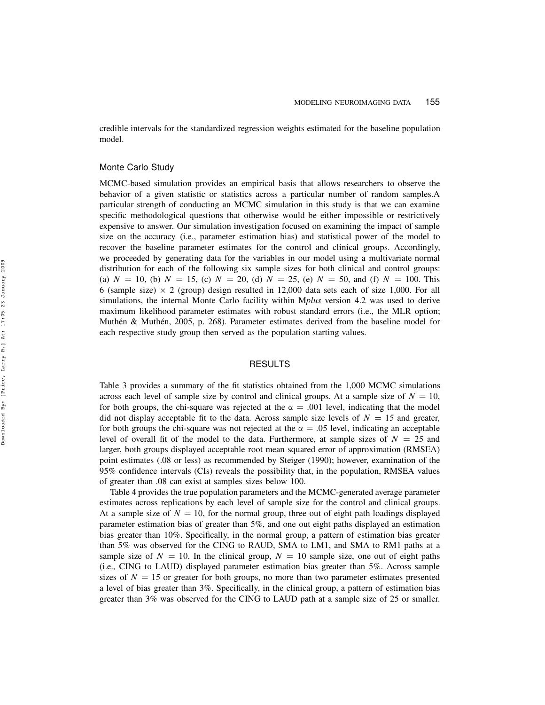credible intervals for the standardized regression weights estimated for the baseline population model.

#### Monte Carlo Study

MCMC-based simulation provides an empirical basis that allows researchers to observe the behavior of a given statistic or statistics across a particular number of random samples.A particular strength of conducting an MCMC simulation in this study is that we can examine specific methodological questions that otherwise would be either impossible or restrictively expensive to answer. Our simulation investigation focused on examining the impact of sample size on the accuracy (i.e., parameter estimation bias) and statistical power of the model to recover the baseline parameter estimates for the control and clinical groups. Accordingly, we proceeded by generating data for the variables in our model using a multivariate normal distribution for each of the following six sample sizes for both clinical and control groups: (a)  $N = 10$ , (b)  $N = 15$ , (c)  $N = 20$ , (d)  $N = 25$ , (e)  $N = 50$ , and (f)  $N = 100$ . This 6 (sample size)  $\times$  2 (group) design resulted in 12,000 data sets each of size 1,000. For all simulations, the internal Monte Carlo facility within Mplus version 4.2 was used to derive maximum likelihood parameter estimates with robust standard errors (i.e., the MLR option; Muthén & Muthén, 2005, p. 268). Parameter estimates derived from the baseline model for each respective study group then served as the population starting values.

# RESULTS

Table 3 provides a summary of the fit statistics obtained from the 1,000 MCMC simulations across each level of sample size by control and clinical groups. At a sample size of  $N = 10$ , for both groups, the chi-square was rejected at the  $\alpha = 0.001$  level, indicating that the model did not display acceptable fit to the data. Across sample size levels of  $N = 15$  and greater, for both groups the chi-square was not rejected at the  $\alpha = 0.05$  level, indicating an acceptable level of overall fit of the model to the data. Furthermore, at sample sizes of  $N = 25$  and larger, both groups displayed acceptable root mean squared error of approximation (RMSEA) point estimates (.08 or less) as recommended by Steiger (1990); however, examination of the 95% confidence intervals (CIs) reveals the possibility that, in the population, RMSEA values of greater than .08 can exist at samples sizes below 100.

Table 4 provides the true population parameters and the MCMC-generated average parameter estimates across replications by each level of sample size for the control and clinical groups. At a sample size of  $N = 10$ , for the normal group, three out of eight path loadings displayed parameter estimation bias of greater than 5%, and one out eight paths displayed an estimation bias greater than 10%. Specifically, in the normal group, a pattern of estimation bias greater than 5% was observed for the CING to RAUD, SMA to LM1, and SMA to RM1 paths at a sample size of  $N = 10$ . In the clinical group,  $N = 10$  sample size, one out of eight paths (i.e., CING to LAUD) displayed parameter estimation bias greater than 5%. Across sample sizes of  $N = 15$  or greater for both groups, no more than two parameter estimates presented a level of bias greater than 3%. Specifically, in the clinical group, a pattern of estimation bias greater than 3% was observed for the CING to LAUD path at a sample size of 25 or smaller.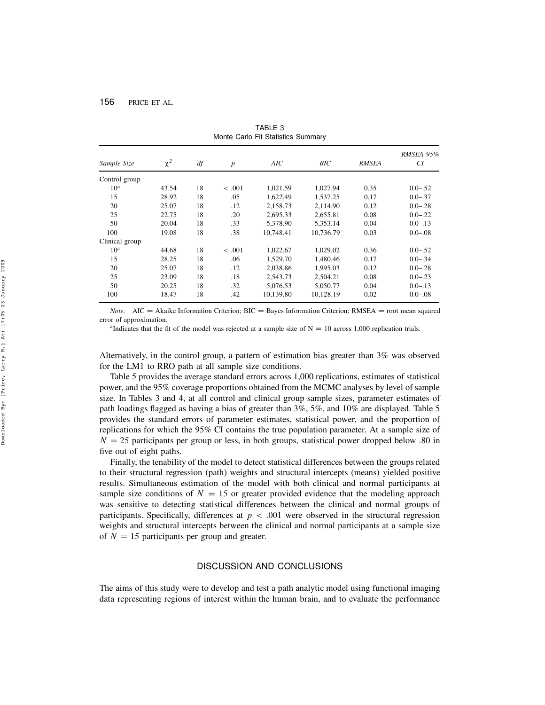|                 |          |    |                  |           |           |              | RMSEA 95%    |
|-----------------|----------|----|------------------|-----------|-----------|--------------|--------------|
| Sample Size     | $\chi^2$ | df | $\boldsymbol{p}$ | AIC       | BIC       | <b>RMSEA</b> | CI           |
| Control group   |          |    |                  |           |           |              |              |
| 10 <sup>a</sup> | 43.54    | 18 | < .001           | 1,021.59  | 1,027.94  | 0.35         | $0.0 - 0.52$ |
| 15              | 28.92    | 18 | .05              | 1,622.49  | 1.537.25  | 0.17         | $0.0 - .37$  |
| 20              | 25.07    | 18 | .12              | 2,158.73  | 2,114.90  | 0.12         | $0.0 - 0.28$ |
| 25              | 22.75    | 18 | .20              | 2,695.33  | 2,655.81  | 0.08         | $0.0 - 0.22$ |
| 50              | 20.04    | 18 | .33              | 5,378.90  | 5,353.14  | 0.04         | $0.0 - 13$   |
| 100             | 19.08    | 18 | .38              | 10.748.41 | 10.736.79 | 0.03         | $0.0 - 0.08$ |
| Clinical group  |          |    |                  |           |           |              |              |
| 10 <sup>a</sup> | 44.68    | 18 | < .001           | 1,022.67  | 1,029.02  | 0.36         | $0.0 - 0.52$ |
| 15              | 28.25    | 18 | .06              | 1,529.70  | 1,480.46  | 0.17         | $0.0 - .34$  |
| 20              | 25.07    | 18 | $.12\,$          | 2,038.86  | 1,995.03  | 0.12         | $0.0 - 0.28$ |
| 25              | 23.09    | 18 | .18              | 2,543.73  | 2,504.21  | 0.08         | $0.0 - 0.23$ |
| 50              | 20.25    | 18 | .32              | 5,076.53  | 5,050.77  | 0.04         | $0.0 - 13$   |
| 100             | 18.47    | 18 | .42              | 10,139.80 | 10,128.19 | 0.02         | $0.0 - 0.08$ |

TABLE 3 Monte Carlo Fit Statistics Summary

*Note.* AIC = Akaike Information Criterion; BIC = Bayes Information Criterion; RMSEA = root mean squared error of approximation.

<sup>a</sup>Indicates that the fit of the model was rejected at a sample size of  $N = 10$  across 1,000 replication trials.

Alternatively, in the control group, a pattern of estimation bias greater than 3% was observed for the LM1 to RRO path at all sample size conditions.

Table 5 provides the average standard errors across 1,000 replications, estimates of statistical power, and the 95% coverage proportions obtained from the MCMC analyses by level of sample size. In Tables 3 and 4, at all control and clinical group sample sizes, parameter estimates of path loadings flagged as having a bias of greater than 3%, 5%, and 10% are displayed. Table 5 provides the standard errors of parameter estimates, statistical power, and the proportion of replications for which the 95% CI contains the true population parameter. At a sample size of  $N = 25$  participants per group or less, in both groups, statistical power dropped below .80 in five out of eight paths.

Finally, the tenability of the model to detect statistical differences between the groups related to their structural regression (path) weights and structural intercepts (means) yielded positive results. Simultaneous estimation of the model with both clinical and normal participants at sample size conditions of  $N = 15$  or greater provided evidence that the modeling approach was sensitive to detecting statistical differences between the clinical and normal groups of participants. Specifically, differences at  $p < .001$  were observed in the structural regression weights and structural intercepts between the clinical and normal participants at a sample size of  $N = 15$  participants per group and greater.

#### DISCUSSION AND CONCLUSIONS

The aims of this study were to develop and test a path analytic model using functional imaging data representing regions of interest within the human brain, and to evaluate the performance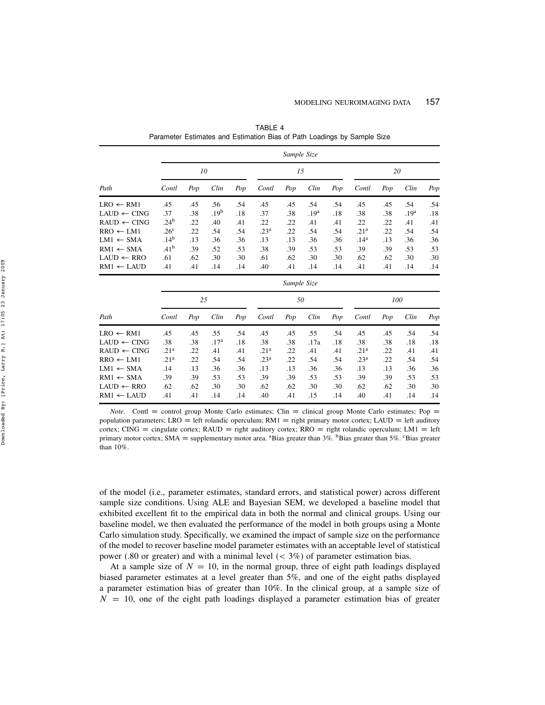|                        |                  |     |                  |     |                  | Sample Size |                  |     |                  |     |                  |     |
|------------------------|------------------|-----|------------------|-----|------------------|-------------|------------------|-----|------------------|-----|------------------|-----|
|                        |                  | 10  |                  |     |                  | 15          |                  |     |                  | 20  |                  |     |
| Path                   | Contl            | Pop | Clin             | Pop | Contl            | Pop         | Clin             | Pop | Contl            | Pop | Clin             | Pop |
| $LRO \leftarrow RM1$   | .45              | .45 | .56              | .54 | .45              | .45         | .54              | .54 | .45              | .45 | .54              | .54 |
| LAUD $\leftarrow$ CING | .37              | .38 | .19 <sup>b</sup> | .18 | .37              | .38         | .19 <sup>a</sup> | .18 | .38              | .38 | .19 <sup>a</sup> | .18 |
| $RAUD \leftarrow CING$ | .24 <sup>b</sup> | .22 | .40              | .41 | .22              | .22         | .41              | .41 | .22              | .22 | .41              | .41 |
| $RRO \leftarrow LM1$   | .26 <sup>c</sup> | .22 | .54              | .54 | .23 <sup>a</sup> | .22         | .54              | .54 | .21 <sup>a</sup> | .22 | .54              | .54 |
| $LM1 \leftarrow SMA$   | .14 <sup>b</sup> | .13 | .36              | .36 | .13              | .13         | .36              | .36 | .14 <sup>a</sup> | .13 | .36              | .36 |
| $RM1 \leftarrow SMA$   | .41 <sup>b</sup> | .39 | .52              | .53 | .38              | .39         | .53              | .53 | .39              | .39 | .53              | .53 |
| LAUD $\leftarrow$ RRO  | .61              | .62 | .30              | .30 | .61              | .62         | .30              | .30 | .62              | .62 | .30              | .30 |
| $RM1 \leftarrow LAUD$  | .41              | .41 | .14              | .14 | .40              | .41         | .14              | .14 | .41              | .41 | .14              | .14 |

TABLE 4 Parameter Estimates and Estimation Bias of Path Loadings by Sample Size

|                        |                  |     |                  |     |                  | Sample Size |      |     |                  |     |      |     |
|------------------------|------------------|-----|------------------|-----|------------------|-------------|------|-----|------------------|-----|------|-----|
|                        |                  | 25  |                  |     |                  | 50          |      |     |                  | 100 |      |     |
| Path                   | Contl            | Pop | Clin             | Pop | Contl            | Pop         | Clin | Pop | Contl            | Pop | Clin | Pop |
| $LRO \leftarrow RM1$   | .45              | .45 | .55              | .54 | .45              | .45         | .55  | .54 | .45              | .45 | .54  | .54 |
| LAUD $\leftarrow$ CING | .38              | .38 | .17 <sup>a</sup> | .18 | .38              | .38         | .17a | .18 | .38              | .38 | .18  | .18 |
| $RAUD \leftarrow CING$ | .21 <sup>a</sup> | .22 | .41              | .41 | .21 <sup>a</sup> | .22         | .41  | .41 | .21 <sup>a</sup> | .22 | .41  | .41 |
| $RRO \leftarrow LM1$   | .21 <sup>a</sup> | .22 | .54              | .54 | .23 <sup>a</sup> | .22         | .54  | .54 | .23 <sup>a</sup> | .22 | .54  | .54 |
| $LM1 \leftarrow SMA$   | .14              | .13 | .36              | .36 | .13              | .13         | .36  | .36 | .13              | .13 | .36  | .36 |
| $RM1 \leftarrow SMA$   | .39              | .39 | .53              | .53 | .39              | .39         | .53  | .53 | .39              | .39 | .53  | .53 |
| $LAUD \leftarrow RRO$  | .62              | .62 | .30              | .30 | .62              | .62         | .30  | .30 | .62              | .62 | .30  | .30 |
| $RM1 \leftarrow LAUD$  | .41              | .41 | .14              | .14 | .40              | .41         | .15  | .14 | .40              | .41 | .14  | .14 |

*Note.* Contl = control group Monte Carlo estimates; Clin = clinical group Monte Carlo estimates; Pop = population parameters; LRO = left rolandic operculum; RM1 = right primary motor cortex; LAUD = left auditory cortex; CING = cingulate cortex; RAUD = right auditory cortex; RRO = right rolandic operculum; LM1 = left primary motor cortex; SMA  $=$  supplementary motor area. <sup>a</sup>Bias greater than 3%. <sup>b</sup>Bias greater than 5%. <sup>c</sup>Bias greater than 10%.

of the model (i.e., parameter estimates, standard errors, and statistical power) across different sample size conditions. Using ALE and Bayesian SEM, we developed a baseline model that exhibited excellent fit to the empirical data in both the normal and clinical groups. Using our baseline model, we then evaluated the performance of the model in both groups using a Monte Carlo simulation study. Specifically, we examined the impact of sample size on the performance of the model to recover baseline model parameter estimates with an acceptable level of statistical power (.80 or greater) and with a minimal level  $($  < 3%) of parameter estimation bias.

At a sample size of  $N = 10$ , in the normal group, three of eight path loadings displayed biased parameter estimates at a level greater than 5%, and one of the eight paths displayed a parameter estimation bias of greater than 10%. In the clinical group, at a sample size of  $N = 10$ , one of the eight path loadings displayed a parameter estimation bias of greater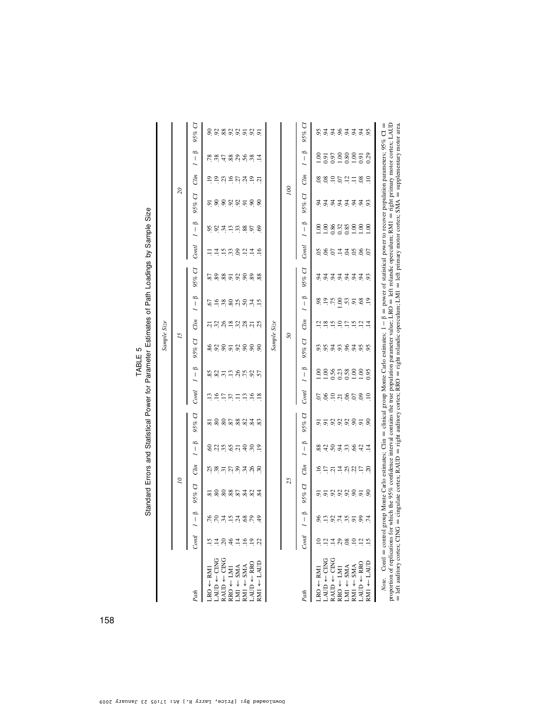|                        |                 |                |                          |                   |                    |                      |          |                          | Sample Size             |                      |                                      |                         |                 |                |                         |          |                                  |                 |
|------------------------|-----------------|----------------|--------------------------|-------------------|--------------------|----------------------|----------|--------------------------|-------------------------|----------------------|--------------------------------------|-------------------------|-----------------|----------------|-------------------------|----------|----------------------------------|-----------------|
|                        |                 |                | $\overline{\mathcal{O}}$ |                   |                    |                      |          |                          | 51                      |                      |                                      |                         |                 |                | $\overline{c}$          |          |                                  |                 |
| Path                   | Conti           | L              | 95% CI                   | Clin              | $\mathbf{I}$       | 95% Cl               | Contl    | $\mathbf{I}$             | 95% CI                  | Clin                 | $\infty$<br>$\overline{\phantom{a}}$ | 95% CI                  | Contl           | $\mathbf{I}$   | J<br>95%                | Clin     | $\infty$<br>$\mathbf{I}$         | 95% CI          |
| $RO \leftarrow RM$     |                 |                |                          |                   |                    |                      |          |                          |                         |                      |                                      |                         |                 |                |                         |          |                                  |                 |
| $AUD \leftarrow CINC$  |                 | <b>KRAHA@R</b> | 22 22 22 23 24           | sä ä ti sä ä si s | ទីអង់សូដូម៉ូម៉ូម៉ូ | 25 26 26 26 26 27 28 |          | 8.87796555               | \$\$\$5\$\$\$\$         | มีผู้ผู้สู้ผู้ผู้ยัง | ទ្ធិនន័ង្គមួត                        |                         |                 | 363458858      | 58888588                | ១១៩១៦៩១៦ | x si di si gi di si di si        | 8 8 3 8 8 5 8 5 |
| $RAUD \leftarrow CING$ | S.              |                |                          |                   |                    |                      |          |                          |                         |                      |                                      |                         |                 |                |                         |          |                                  |                 |
| $RRO \leftarrow LM$    | 46              |                |                          |                   |                    |                      | erberes  |                          |                         |                      |                                      |                         |                 |                |                         |          |                                  |                 |
| $LM1 \leftarrow SMA$   | $\ddot{=}$      |                |                          |                   |                    |                      |          |                          |                         |                      |                                      |                         |                 |                |                         |          |                                  |                 |
| $RM1 \leftarrow SMA$   | $\ddot{16}$     |                |                          |                   |                    |                      |          |                          |                         |                      |                                      |                         |                 |                |                         |          |                                  |                 |
| $AUD \leftarrow RRC$   | $\ddot{=}$      |                |                          |                   |                    |                      |          |                          |                         |                      |                                      |                         |                 |                |                         |          |                                  |                 |
| $AMI \leftarrow LMI$   |                 | 49             |                          |                   |                    |                      |          |                          |                         |                      |                                      |                         |                 |                |                         |          |                                  |                 |
|                        |                 |                |                          |                   |                    |                      |          |                          | Sample Size             |                      |                                      |                         |                 |                |                         |          |                                  |                 |
|                        |                 |                | 25                       |                   |                    |                      |          |                          | SO                      |                      |                                      |                         |                 |                | 100                     |          |                                  |                 |
| Path                   | Contl           | $\mathbf{L}$   | 95% CI                   | Clin              | $\mathsf I$        | 95% Cl               | Contl    | $\infty$<br>$\mathbf{I}$ | J<br>95%                | Clin                 | $\mathsf I$<br>╮                     | J<br>95%                | Contl           | $\overline{1}$ | J<br>95%                | Clin     | $\infty$<br>$\frac{1}{\sqrt{2}}$ | 95% CI          |
| $RO \leftarrow RMI$    |                 |                |                          |                   |                    |                      |          | $\frac{8}{1}$            |                         |                      |                                      |                         |                 | $\frac{8}{10}$ |                         |          | $\frac{8}{10}$                   |                 |
| $MID \leftarrow CING$  |                 |                |                          |                   |                    |                      |          |                          |                         |                      |                                      |                         |                 |                |                         |          |                                  |                 |
| $RAUD \leftarrow CINC$ | $\vec{=}$       | gagrasar       | 55888858                 | 5.5779958         | 8 3 4 5 4 5 6 4 7  | 55888858             | 58938589 |                          | 5, 5, 5, 5, 5, 5, 5, 5, | $239995927$          |                                      | इं इं इं इं इं इं इं इं | <b>SSETESSE</b> |                | इं इं इं इं इं इं इं इं | 88952589 | 5568858                          | 5 3 3 5 3 3 3 5 |
| $RRO \leftarrow LM$    |                 |                |                          |                   |                    |                      |          |                          |                         |                      |                                      |                         |                 |                |                         |          |                                  |                 |
| $LM1 \leftarrow SMA$   | 289             |                |                          |                   |                    |                      |          |                          |                         |                      |                                      |                         |                 |                |                         |          |                                  |                 |
| $RM1 \leftarrow SMA$   |                 |                |                          |                   |                    |                      |          |                          |                         |                      |                                      |                         |                 |                |                         |          |                                  |                 |
| $AUD \leftarrow RRC$   | $\overline{12}$ |                |                          |                   |                    |                      |          |                          |                         |                      |                                      |                         |                 |                |                         |          |                                  |                 |
| $AMI \leftarrow LAUT$  |                 |                |                          |                   |                    |                      |          |                          |                         |                      |                                      |                         |                 |                |                         |          |                                  |                 |

left auditory cortex; CING

cingulate cortex; RAUD

right auditory cortex; RRO

right rolandic operculum; LM1

left primary motor cortex; SMA

supplementary motor area.

TABLE 5<br>Standard Errors and Statistical Power for Parameter Estimates of Path Loadings by Sample Size Standard Errors and Statistical Power for Parameter Estimates of Path Loadings by Sample Size TABLE 5

158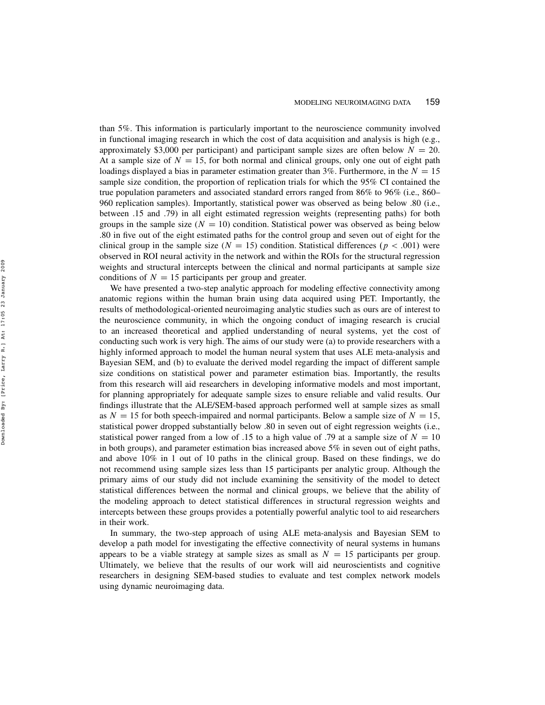than 5%. This information is particularly important to the neuroscience community involved in functional imaging research in which the cost of data acquisition and analysis is high (e.g., approximately \$3,000 per participant) and participant sample sizes are often below  $N = 20$ . At a sample size of  $N = 15$ , for both normal and clinical groups, only one out of eight path loadings displayed a bias in parameter estimation greater than  $3\%$ . Furthermore, in the  $N = 15$ sample size condition, the proportion of replication trials for which the 95% CI contained the true population parameters and associated standard errors ranged from 86% to 96% (i.e., 860– 960 replication samples). Importantly, statistical power was observed as being below .80 (i.e., between .15 and .79) in all eight estimated regression weights (representing paths) for both groups in the sample size  $(N = 10)$  condition. Statistical power was observed as being below .80 in five out of the eight estimated paths for the control group and seven out of eight for the clinical group in the sample size ( $N = 15$ ) condition. Statistical differences ( $p < .001$ ) were observed in ROI neural activity in the network and within the ROIs for the structural regression weights and structural intercepts between the clinical and normal participants at sample size conditions of  $N = 15$  participants per group and greater.

We have presented a two-step analytic approach for modeling effective connectivity among anatomic regions within the human brain using data acquired using PET. Importantly, the results of methodological-oriented neuroimaging analytic studies such as ours are of interest to the neuroscience community, in which the ongoing conduct of imaging research is crucial to an increased theoretical and applied understanding of neural systems, yet the cost of conducting such work is very high. The aims of our study were (a) to provide researchers with a highly informed approach to model the human neural system that uses ALE meta-analysis and Bayesian SEM, and (b) to evaluate the derived model regarding the impact of different sample size conditions on statistical power and parameter estimation bias. Importantly, the results from this research will aid researchers in developing informative models and most important, for planning appropriately for adequate sample sizes to ensure reliable and valid results. Our findings illustrate that the ALE/SEM-based approach performed well at sample sizes as small as  $N = 15$  for both speech-impaired and normal participants. Below a sample size of  $N = 15$ , statistical power dropped substantially below .80 in seven out of eight regression weights (i.e., statistical power ranged from a low of .15 to a high value of .79 at a sample size of  $N = 10$ in both groups), and parameter estimation bias increased above 5% in seven out of eight paths, and above 10% in 1 out of 10 paths in the clinical group. Based on these findings, we do not recommend using sample sizes less than 15 participants per analytic group. Although the primary aims of our study did not include examining the sensitivity of the model to detect statistical differences between the normal and clinical groups, we believe that the ability of the modeling approach to detect statistical differences in structural regression weights and intercepts between these groups provides a potentially powerful analytic tool to aid researchers in their work.

In summary, the two-step approach of using ALE meta-analysis and Bayesian SEM to develop a path model for investigating the effective connectivity of neural systems in humans appears to be a viable strategy at sample sizes as small as  $N = 15$  participants per group. Ultimately, we believe that the results of our work will aid neuroscientists and cognitive researchers in designing SEM-based studies to evaluate and test complex network models using dynamic neuroimaging data.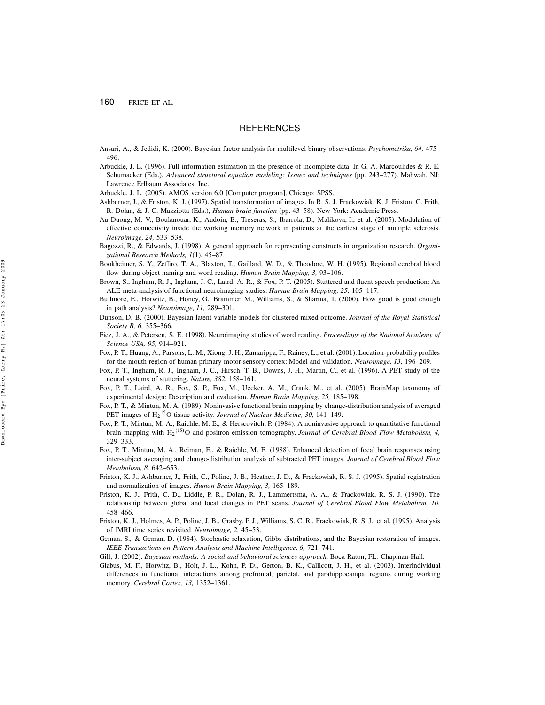### REFERENCES

Ansari, A., & Jedidi, K. (2000). Bayesian factor analysis for multilevel binary observations. Psychometrika, 64, 475– 496.

- Arbuckle, J. L. (1996). Full information estimation in the presence of incomplete data. In G. A. Marcoulides & R. E. Schumacker (Eds.), Advanced structural equation modeling: Issues and techniques (pp. 243–277). Mahwah, NJ: Lawrence Erlbaum Associates, Inc.
- Arbuckle, J. L. (2005). AMOS version 6.0 [Computer program]. Chicago: SPSS.
- Ashburner, J., & Friston, K. J. (1997). Spatial transformation of images. In R. S. J. Frackowiak, K. J. Friston, C. Frith, R. Dolan, & J. C. Mazziotta (Eds.), Human brain function (pp. 43-58). New York: Academic Press.
- Au Duong, M. V., Boulanouar, K., Audoin, B., Treseras, S., Ibarrola, D., Malikova, I., et al. (2005). Modulation of effective connectivity inside the working memory network in patients at the earliest stage of multiple sclerosis. Neuroimage, 24, 533–538.
- Bagozzi, R., & Edwards, J. (1998). A general approach for representing constructs in organization research. Organizational Research Methods, 1(1), 45–87.
- Bookheimer, S. Y., Zeffiro, T. A., Blaxton, T., Gaillard, W. D., & Theodore, W. H. (1995). Regional cerebral blood flow during object naming and word reading. Human Brain Mapping, 3, 93–106.
- Brown, S., Ingham, R. J., Ingham, J. C., Laird, A. R., & Fox, P. T. (2005). Stuttered and fluent speech production: An ALE meta-analysis of functional neuroimaging studies. Human Brain Mapping, 25, 105-117.
- Bullmore, E., Horwitz, B., Honey, G., Brammer, M., Williams, S., & Sharma, T. (2000). How good is good enough in path analysis? Neuroimage, 11, 289–301.
- Dunson, D. B. (2000). Bayesian latent variable models for clustered mixed outcome. Journal of the Royal Statistical Society B, 6, 355–366.
- Fiez, J. A., & Petersen, S. E. (1998). Neuroimaging studies of word reading. Proceedings of the National Academy of Science USA, 95, 914–921.
- Fox, P. T., Huang, A., Parsons, L. M., Xiong, J. H., Zamarippa, F., Rainey, L., et al. (2001). Location-probability profiles for the mouth region of human primary motor-sensory cortex: Model and validation. Neuroimage, 13, 196-209.
- Fox, P. T., Ingham, R. J., Ingham, J. C., Hirsch, T. B., Downs, J. H., Martin, C., et al. (1996). A PET study of the neural systems of stuttering. Nature, 382, 158–161.
- Fox, P. T., Laird, A. R., Fox, S. P., Fox, M., Uecker, A. M., Crank, M., et al. (2005). BrainMap taxonomy of experimental design: Description and evaluation. Human Brain Mapping, 25, 185-198.
- Fox, P. T., & Mintun, M. A. (1989). Noninvasive functional brain mapping by change-distribution analysis of averaged PET images of  $H_2$ <sup>15</sup>O tissue activity. Journal of Nuclear Medicine, 30, 141–149.
- Fox, P. T., Mintun, M. A., Raichle, M. E., & Herscovitch, P. (1984). A noninvasive approach to quantitative functional brain mapping with  $H_2^{(15)}O$  and positron emission tomography. Journal of Cerebral Blood Flow Metabolism, 4, 329–333.
- Fox, P. T., Mintun, M. A., Reiman, E., & Raichle, M. E. (1988). Enhanced detection of focal brain responses using inter-subject averaging and change-distribution analysis of subtracted PET images. Journal of Cerebral Blood Flow Metabolism, 8, 642–653.
- Friston, K. J., Ashburner, J., Frith, C., Poline, J. B., Heather, J. D., & Frackowiak, R. S. J. (1995). Spatial registration and normalization of images. Human Brain Mapping, 3, 165–189.
- Friston, K. J., Frith, C. D., Liddle, P. R., Dolan, R. J., Lammertsma, A. A., & Frackowiak, R. S. J. (1990). The relationship between global and local changes in PET scans. Journal of Cerebral Blood Flow Metabolism, 10, 458–466.
- Friston, K. J., Holmes, A. P., Poline, J. B., Grasby, P. J., Williams, S. C. R., Frackowiak, R. S. J., et al. (1995). Analysis of fMRI time series revisited. Neuroimage, 2, 45–53.
- Geman, S., & Geman, D. (1984). Stochastic relaxation, Gibbs distributions, and the Bayesian restoration of images. IEEE Transactions on Pattern Analysis and Machine Intelligence, 6, 721–741.
- Gill, J. (2002). Bayesian methods: A social and behavioral sciences approach. Boca Raton, FL: Chapman-Hall.
- Glabus, M. F., Horwitz, B., Holt, J. L., Kohn, P. D., Gerton, B. K., Callicott, J. H., et al. (2003). Interindividual differences in functional interactions among prefrontal, parietal, and parahippocampal regions during working memory. Cerebral Cortex, 13, 1352-1361.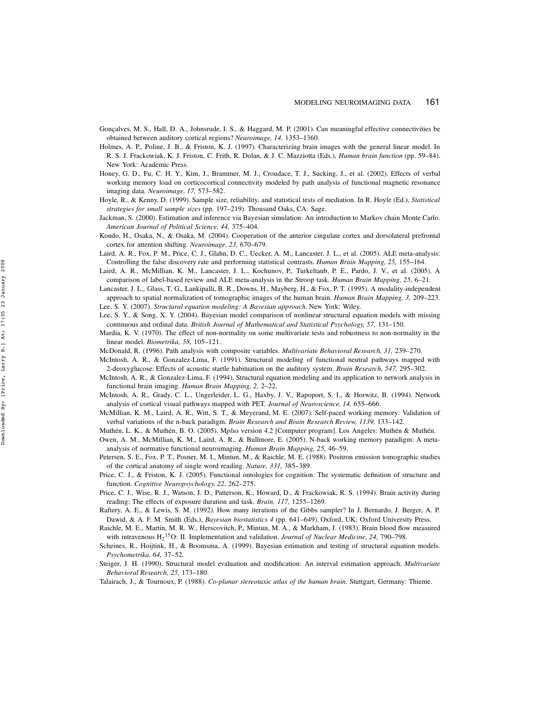Gonçalves, M. S., Hall, D. A., Johnsrude, I. S., & Haggard, M. P. (2001). Can meaningful effective connectivities be obtained between auditory cortical regions? Neuroimage, 14, 1353–1360.

- Holmes, A. P., Poline, J. B., & Friston, K. J. (1997). Characterizing brain images with the general linear model. In R. S. J. Frackowiak, K. J. Friston, C. Frith, R. Dolan, & J. C. Mazziotta (Eds.), Human brain function (pp. 59–84). New York: Academic Press.
- Honey, G. D., Fu, C. H. Y., Kim, J., Brammer, M. J., Croudace, T. J., Sucking, J., et al. (2002). Effects of verbal working memory load on corticocortical connectivity modeled by path analysis of functional magnetic resonance imaging data. Neuroimage, 17, 573–582.
- Hoyle, R., & Kenny, D. (1999). Sample size, reliability, and statistical tests of mediation. In R. Hoyle (Ed.), Statistical strategies for small sample sizes (pp. 197–219). Thousand Oaks, CA: Sage.
- Jackman, S. (2000). Estimation and inference via Bayesian simulation: An introduction to Markov chain Monte Carlo. American Journal of Political Science, 44, 375–404.
- Kondo, H., Osaka, N., & Osaka, M. (2004). Cooperation of the anterior cingulate cortex and dorsolateral prefrontal cortex for attention shifting. Neuroimage, 23, 670–679.
- Laird, A. R., Fox, P. M., Price, C. J., Glahn, D. C., Uecker, A. M., Lancaster, J. L., et al. (2005). ALE meta-analysis: Controlling the false discovery rate and performing statistical contrasts. Human Brain Mapping, 25, 155–164.
- Laird, A. R., McMillian, K. M., Lancaster, J. L., Kochunov, P., Turkeltaub, P. E., Pardo, J. V., et al. (2005). A comparison of label-based review and ALE meta-analysis in the Stroop task. Human Brain Mapping, 25, 6–21.
- Lancaster, J. L., Glass, T. G., Lankipalli, B. R., Downs, H., Mayberg, H., & Fox, P. T. (1995). A modality-independent approach to spatial normalization of tomographic images of the human brain. Human Brain Mapping, 3, 209–223. Lee, S. Y. (2007). Structural equation modeling: A Bayesian approach. New York: Wiley.
- Lee, S. Y., & Song, X. Y. (2004). Bayesian model comparison of nonlinear structural equation models with missing continuous and ordinal data. British Journal of Mathematical and Statistical Psychology, 57, 131-150.
- Mardia, K. V. (1970). The effect of non-normality on some multivariate tests and robustness to non-normality in the linear model. Biometrika, 58, 105–121.
- McDonald, R. (1996). Path analysis with composite variables. Multivariate Behavioral Research, 31, 239–270.
- McIntosh, A. R., & Gonzalez-Lima, F. (1991). Structural modeling of functional neutral pathways mapped with 2-deoxyglucose: Effects of acoustic startle habituation on the auditory system. Brain Research, 547, 295–302.
- McIntosh, A. R., & Gonzalez-Lima, F. (1994). Structural equation modeling and its application to network analysis in functional brain imaging. Human Brain Mapping, 2, 2–22.
- McIntosh, A. R., Grady, C. L., Ungerleider, L. G., Haxby, J. V., Rapoport, S. I., & Horwitz, B. (1994). Network analysis of cortical visual pathways mapped with PET. Journal of Neuroscience, 14, 655–666.
- McMillian, K. M., Laird, A. R., Witt, S. T., & Meyerand, M. E. (2007). Self-paced working memory: Validation of verbal variations of the n-back paradigm. Brain Research and Brain Research Review, 1139, 133–142.
- Muthén, L. K., & Muthén, B. O. (2005). Mplus version 4.2 [Computer program]. Los Angeles: Muthén & Muthén.
- Owen, A. M., McMillian, K. M., Laird, A. R., & Bullmore, E. (2005). N-back working memory paradigm: A metaanalysis of normative functional neuroimaging. Human Brain Mapping, 25, 46–59.
- Petersen, S. E., Fox, P. T., Posner, M. I., Mintun, M., & Raichle, M. E. (1988). Positron emission tomographic studies of the cortical anatomy of single word reading. Nature, 331, 385–389.
- Price, C. J., & Friston, K. J. (2005). Functional ontologies for cognition: The systematic definition of structure and function. Cognitive Neuropsychology, 22, 262–275.
- Price, C. J., Wise, R. J., Watson, J. D., Patterson, K., Howard, D., & Frackowiak, R. S. (1994). Brain activity during reading: The effects of exposure duration and task. Brain, 117, 1255–1269.
- Raftery, A. E., & Lewis, S. M. (1992). How many iterations of the Gibbs sampler? In J. Bernardo, J. Berger, A. P. Dawid, & A. F. M. Smith (Eds.), Bayesian biostatistics 4 (pp. 641-649). Oxford, UK: Oxford University Press.
- Raichle, M. E., Martin, M. R. W., Herscovitch, P., Mintun, M. A., & Markham, J. (1983). Brain blood flow measured with intravenous  $H_2$ <sup>15</sup>O: II. Implementation and validation. Journal of Nuclear Medicine, 24, 790–798.
- Scheines, R., Hoijtink, H., & Boomsma, A. (1999). Bayesian estimation and testing of structural equation models. Psychometrika, 64, 37–52.
- Steiger, J. H. (1990). Structural model evaluation and modification: An interval estimation approach. Multivariate Behavioral Research, 25, 173–180.
- Talairach, J., & Tournoux, P. (1988). Co-planar stereotaxic atlas of the human brain. Stuttgart, Germany: Thieme.